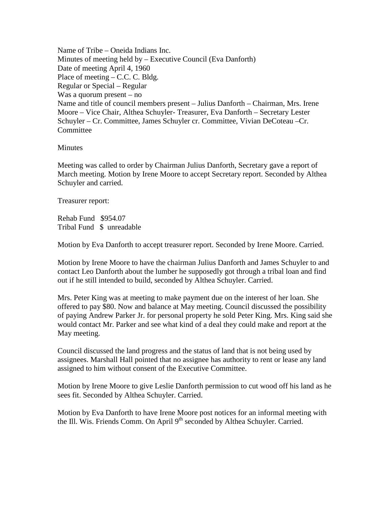Name of Tribe – Oneida Indians Inc. Minutes of meeting held by – Executive Council (Eva Danforth) Date of meeting April 4, 1960 Place of meeting – C.C. C. Bldg. Regular or Special – Regular Was a quorum present – no Name and title of council members present – Julius Danforth – Chairman, Mrs. Irene Moore – Vice Chair, Althea Schuyler- Treasurer, Eva Danforth – Secretary Lester Schuyler – Cr. Committee, James Schuyler cr. Committee, Vivian DeCoteau –Cr. **Committee** 

## **Minutes**

Meeting was called to order by Chairman Julius Danforth, Secretary gave a report of March meeting. Motion by Irene Moore to accept Secretary report. Seconded by Althea Schuyler and carried.

Treasurer report:

Rehab Fund \$954.07 Tribal Fund \$ unreadable

Motion by Eva Danforth to accept treasurer report. Seconded by Irene Moore. Carried.

Motion by Irene Moore to have the chairman Julius Danforth and James Schuyler to and contact Leo Danforth about the lumber he supposedly got through a tribal loan and find out if he still intended to build, seconded by Althea Schuyler. Carried.

Mrs. Peter King was at meeting to make payment due on the interest of her loan. She offered to pay \$80. Now and balance at May meeting. Council discussed the possibility of paying Andrew Parker Jr. for personal property he sold Peter King. Mrs. King said she would contact Mr. Parker and see what kind of a deal they could make and report at the May meeting.

Council discussed the land progress and the status of land that is not being used by assignees. Marshall Hall pointed that no assignee has authority to rent or lease any land assigned to him without consent of the Executive Committee.

Motion by Irene Moore to give Leslie Danforth permission to cut wood off his land as he sees fit. Seconded by Althea Schuyler. Carried.

Motion by Eva Danforth to have Irene Moore post notices for an informal meeting with the Ill. Wis. Friends Comm. On April 9<sup>th</sup> seconded by Althea Schuyler. Carried.